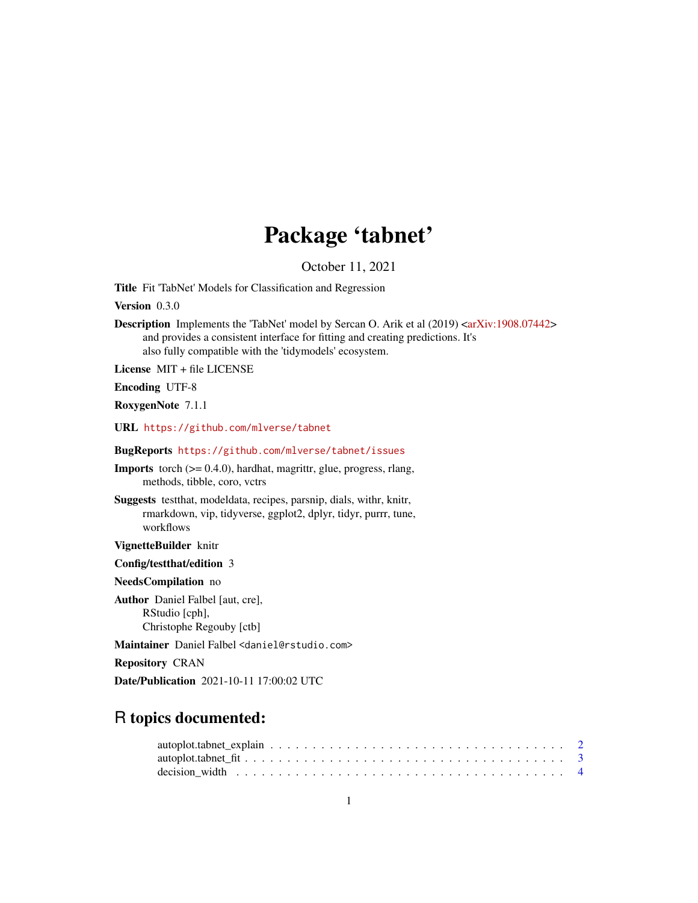# Package 'tabnet'

October 11, 2021

<span id="page-0-0"></span>Title Fit 'TabNet' Models for Classification and Regression

Version 0.3.0

Description Implements the 'TabNet' model by Sercan O. Arik et al (2019) [<arXiv:1908.07442>](https://arxiv.org/abs/1908.07442) and provides a consistent interface for fitting and creating predictions. It's also fully compatible with the 'tidymodels' ecosystem.

License MIT + file LICENSE

Encoding UTF-8

RoxygenNote 7.1.1

URL <https://github.com/mlverse/tabnet>

BugReports <https://github.com/mlverse/tabnet/issues>

Imports torch (>= 0.4.0), hardhat, magrittr, glue, progress, rlang, methods, tibble, coro, vctrs

Suggests testthat, modeldata, recipes, parsnip, dials, withr, knitr, rmarkdown, vip, tidyverse, ggplot2, dplyr, tidyr, purrr, tune, workflows

VignetteBuilder knitr

Config/testthat/edition 3

NeedsCompilation no

Author Daniel Falbel [aut, cre], RStudio [cph], Christophe Regouby [ctb]

Maintainer Daniel Falbel <daniel@rstudio.com>

Repository CRAN

Date/Publication 2021-10-11 17:00:02 UTC

# R topics documented: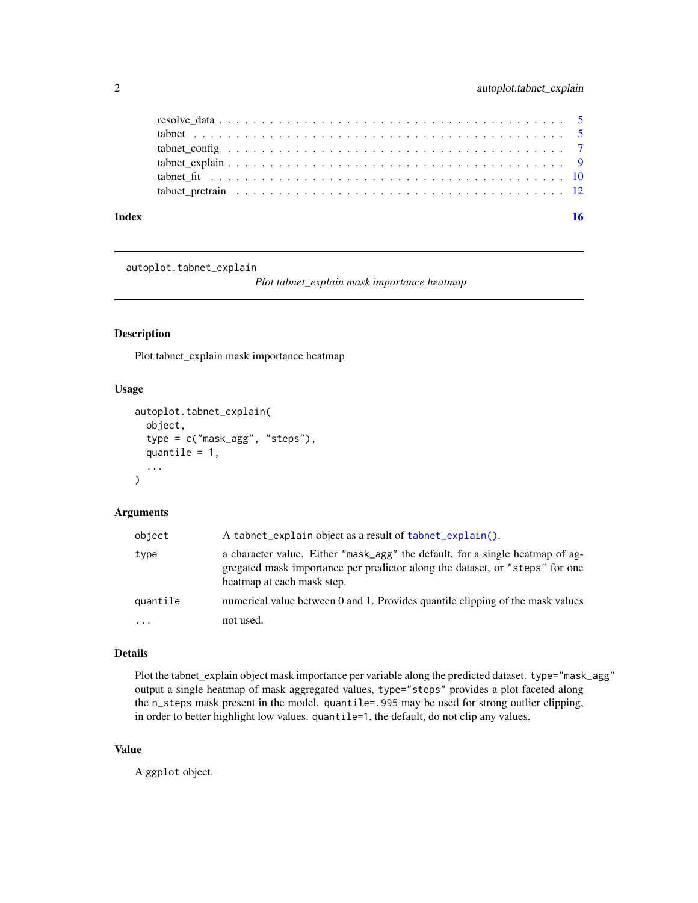<span id="page-1-0"></span>

| Index |  |
|-------|--|
|       |  |
|       |  |
|       |  |
|       |  |
|       |  |
|       |  |

autoplot.tabnet\_explain

*Plot tabnet\_explain mask importance heatmap*

#### Description

Plot tabnet\_explain mask importance heatmap

## Usage

```
autoplot.tabnet_explain(
  object,
  type = c("mask_agg", "steps"),
  quantile = 1,
  ...
\mathcal{E}
```
## Arguments

| object   | A tabnet_explain object as a result of tabnet_explain().                                                                                                                                    |
|----------|---------------------------------------------------------------------------------------------------------------------------------------------------------------------------------------------|
| type     | a character value. Either "mask_agg" the default, for a single heatmap of ag-<br>gregated mask importance per predictor along the dataset, or "steps" for one<br>heatmap at each mask step. |
| quantile | numerical value between 0 and 1. Provides quantile clipping of the mask values                                                                                                              |
| $\cdots$ | not used.                                                                                                                                                                                   |

#### Details

Plot the tabnet\_explain object mask importance per variable along the predicted dataset. type="mask\_agg" output a single heatmap of mask aggregated values, type="steps" provides a plot faceted along the n\_steps mask present in the model. quantile=.995 may be used for strong outlier clipping, in order to better highlight low values. quantile=1, the default, do not clip any values.

#### Value

A ggplot object.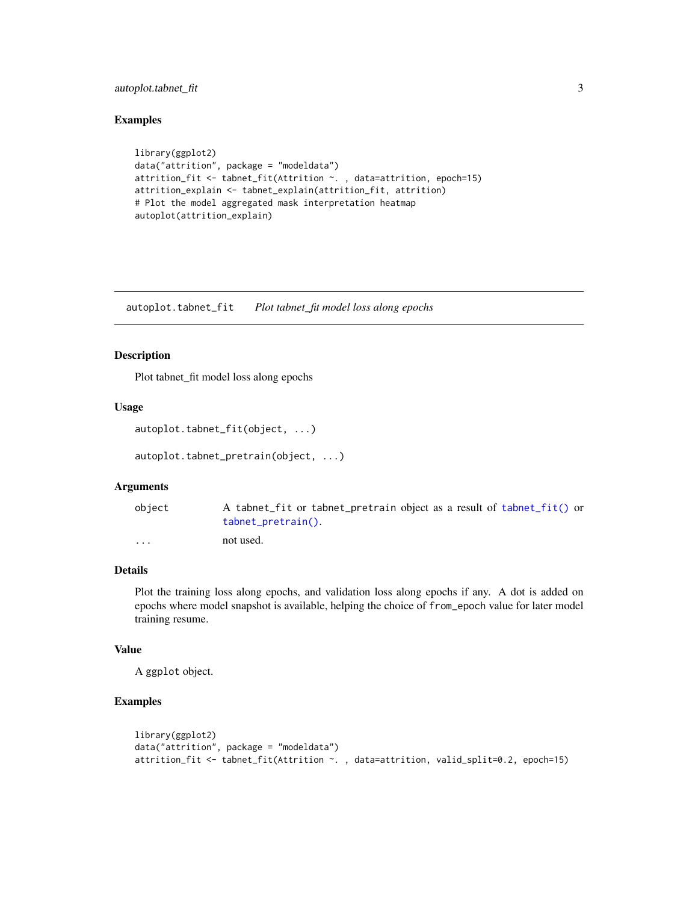## <span id="page-2-0"></span>autoplot.tabnet\_fit 3

## Examples

```
library(ggplot2)
data("attrition", package = "modeldata")
attrition_fit <- tabnet_fit(Attrition ~. , data=attrition, epoch=15)
attrition_explain <- tabnet_explain(attrition_fit, attrition)
# Plot the model aggregated mask interpretation heatmap
autoplot(attrition_explain)
```
autoplot.tabnet\_fit *Plot tabnet\_fit model loss along epochs*

#### Description

Plot tabnet\_fit model loss along epochs

## Usage

```
autoplot.tabnet_fit(object, ...)
```

```
autoplot.tabnet_pretrain(object, ...)
```
#### Arguments

| object                  | A tabnet_fit or tabnet_pretrain object as a result of tabnet_fit() or<br>$tabnet\_pretrain()$ . |
|-------------------------|-------------------------------------------------------------------------------------------------|
| $\cdot$ $\cdot$ $\cdot$ | not used.                                                                                       |

## Details

Plot the training loss along epochs, and validation loss along epochs if any. A dot is added on epochs where model snapshot is available, helping the choice of from\_epoch value for later model training resume.

#### Value

A ggplot object.

## Examples

```
library(ggplot2)
data("attrition", package = "modeldata")
attrition_fit <- tabnet_fit(Attrition ~. , data=attrition, valid_split=0.2, epoch=15)
```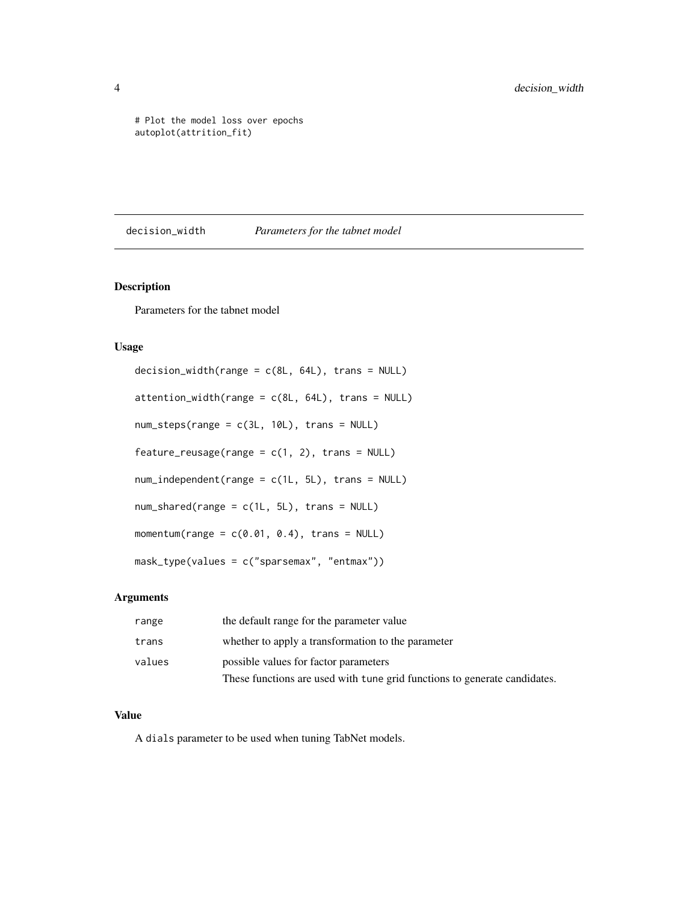<span id="page-3-0"></span># Plot the model loss over epochs autoplot(attrition\_fit)

decision\_width *Parameters for the tabnet model*

### Description

Parameters for the tabnet model

#### Usage

```
decision\_width(range = c(8L, 64L), trans = NULL)attention\_width(range = c(8L, 64L), trans = NULL)num_steps(range = c(3L, 10L), trans = NULL)
feature_reusage(range = c(1, 2), trans = NULL)
num_independent(range = c(1L, 5L), trans = NULL)
num_shared(range = c(1L, 5L), trans = NULL)
momentum(range = c(0.01, 0.4), trans = NULL)
mask_type(values = c("sparsemax", "entmax"))
```
#### Arguments

| range  | the default range for the parameter value                                 |
|--------|---------------------------------------------------------------------------|
| trans  | whether to apply a transformation to the parameter                        |
| values | possible values for factor parameters                                     |
|        | These functions are used with tune grid functions to generate candidates. |

### Value

A dials parameter to be used when tuning TabNet models.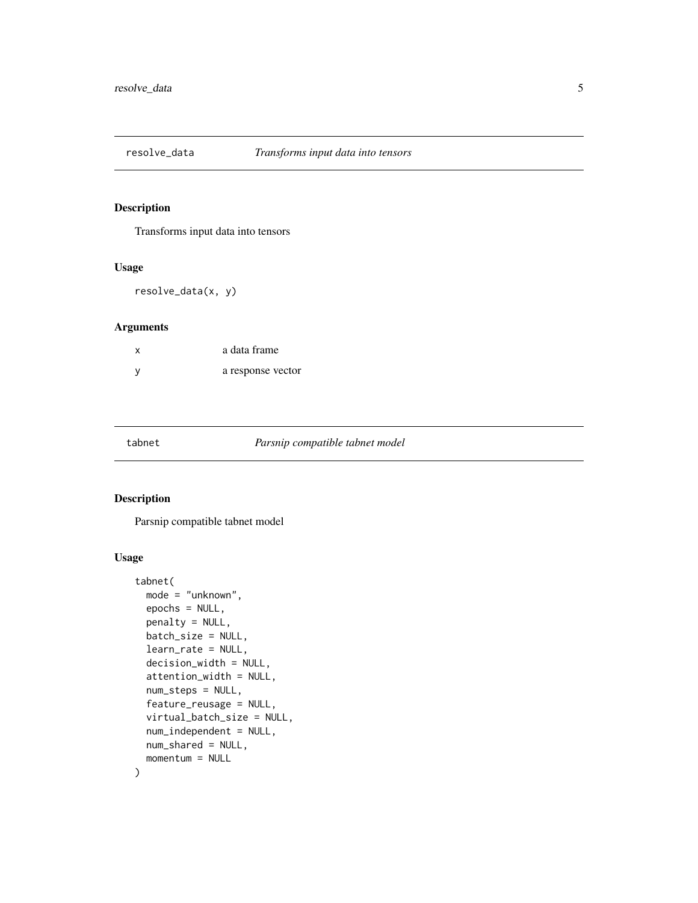<span id="page-4-0"></span>

## Description

Transforms input data into tensors

#### Usage

resolve\_data(x, y)

#### Arguments

| X   | a data frame      |
|-----|-------------------|
| - V | a response vector |

#### tabnet *Parsnip compatible tabnet model*

#### Description

Parsnip compatible tabnet model

## Usage

```
tabnet(
 mode = "unknown",
 epochs = NULL,
 penalty = NULL,
 batch_size = NULL,
  learn_rate = NULL,
 decision_width = NULL,
  attention_width = NULL,
 num_steps = NULL,
  feature_reusage = NULL,
  virtual_batch_size = NULL,
  num_independent = NULL,
 num_shared = NULL,
 momentum = NULL
\mathcal{E}
```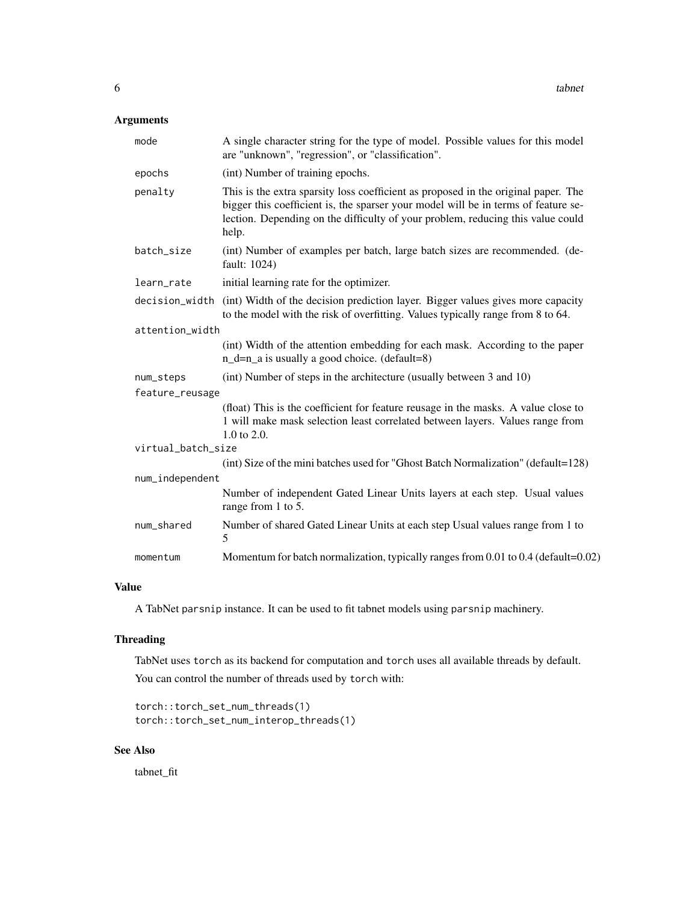## Arguments

| mode               | A single character string for the type of model. Possible values for this model<br>are "unknown", "regression", or "classification".                                                                                                                                 |
|--------------------|----------------------------------------------------------------------------------------------------------------------------------------------------------------------------------------------------------------------------------------------------------------------|
| epochs             | (int) Number of training epochs.                                                                                                                                                                                                                                     |
| penalty            | This is the extra sparsity loss coefficient as proposed in the original paper. The<br>bigger this coefficient is, the sparser your model will be in terms of feature se-<br>lection. Depending on the difficulty of your problem, reducing this value could<br>help. |
| batch_size         | (int) Number of examples per batch, large batch sizes are recommended. (de-<br>fault: 1024)                                                                                                                                                                          |
| learn_rate         | initial learning rate for the optimizer.                                                                                                                                                                                                                             |
| decision_width     | (int) Width of the decision prediction layer. Bigger values gives more capacity<br>to the model with the risk of overfitting. Values typically range from 8 to 64.                                                                                                   |
| attention_width    |                                                                                                                                                                                                                                                                      |
|                    | (int) Width of the attention embedding for each mask. According to the paper<br>$n_d=n_a$ is usually a good choice. (default=8)                                                                                                                                      |
| num_steps          | (int) Number of steps in the architecture (usually between 3 and 10)                                                                                                                                                                                                 |
| feature_reusage    |                                                                                                                                                                                                                                                                      |
|                    | (float) This is the coefficient for feature reusage in the masks. A value close to<br>1 will make mask selection least correlated between layers. Values range from<br>$1.0 \text{ to } 2.0.$                                                                        |
| virtual_batch_size |                                                                                                                                                                                                                                                                      |
|                    | (int) Size of the mini batches used for "Ghost Batch Normalization" (default=128)                                                                                                                                                                                    |
| num_independent    |                                                                                                                                                                                                                                                                      |
|                    | Number of independent Gated Linear Units layers at each step. Usual values<br>range from 1 to 5.                                                                                                                                                                     |
| num_shared         | Number of shared Gated Linear Units at each step Usual values range from 1 to<br>5                                                                                                                                                                                   |
| momentum           | Momentum for batch normalization, typically ranges from 0.01 to 0.4 (default=0.02)                                                                                                                                                                                   |

#### Value

A TabNet parsnip instance. It can be used to fit tabnet models using parsnip machinery.

## Threading

TabNet uses torch as its backend for computation and torch uses all available threads by default. You can control the number of threads used by torch with:

```
torch::torch_set_num_threads(1)
torch::torch_set_num_interop_threads(1)
```
## See Also

tabnet\_fit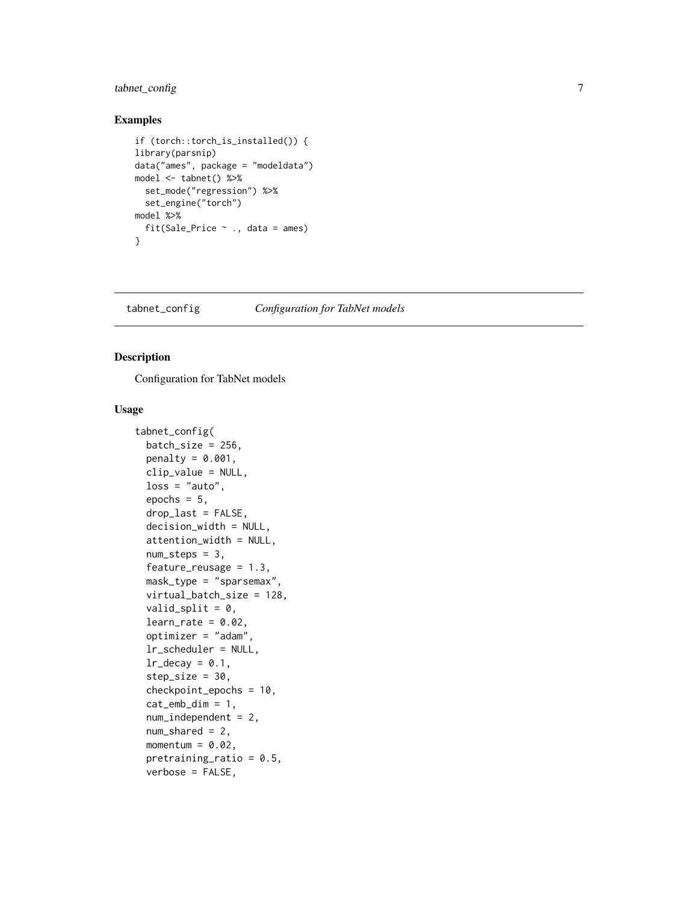## <span id="page-6-0"></span>tabnet\_config 7

### Examples

```
if (torch::torch_is_installed()) {
library(parsnip)
data("ames", package = "modeldata")
model <- tabnet() %>%
  set_mode("regression") %>%
  set_engine("torch")
model %>%
  fit(Sale_Price ~ ., data = ames)
}
```
<span id="page-6-1"></span>tabnet\_config *Configuration for TabNet models*

## Description

Configuration for TabNet models

#### Usage

```
tabnet_config(
  batch_size = 256,
 penalty = 0.001,
  clip_value = NULL,
  loss = "auto",epochs = 5,
  drop_last = FALSE,
  decision_width = NULL,
  attention_width = NULL,
  num\_steps = 3,
  feature_{reusage} = 1.3,
 mask_type = "sparsemax",
  virtual_batch_size = 128,
  valid_split = 0,
  learn_rate = 0.02,
  optimizer = "adam",
  lr_scheduler = NULL,
  lr\_decay = 0.1,step_size = 30,
  checkpoint_epochs = 10,
  cat<sub>-emb</sub>dim = 1,
  num_independent = 2,
  num\_shared = 2,
 momentum = 0.02,
  pretraining_ratio = 0.5,
  verbose = FALSE,
```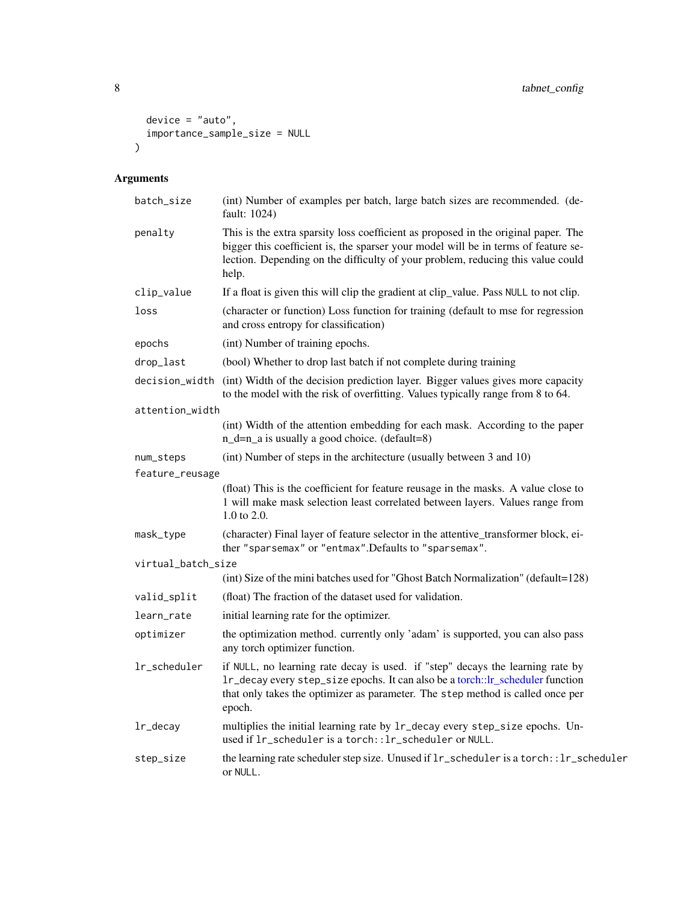```
device = "auto",
   importance_sample_size = NULL
\overline{)}
```
## Arguments

| batch_size         | (int) Number of examples per batch, large batch sizes are recommended. (de-<br>fault: 1024)                                                                                                                                                                          |  |  |  |  |
|--------------------|----------------------------------------------------------------------------------------------------------------------------------------------------------------------------------------------------------------------------------------------------------------------|--|--|--|--|
| penalty            | This is the extra sparsity loss coefficient as proposed in the original paper. The<br>bigger this coefficient is, the sparser your model will be in terms of feature se-<br>lection. Depending on the difficulty of your problem, reducing this value could<br>help. |  |  |  |  |
| clip_value         | If a float is given this will clip the gradient at clip_value. Pass NULL to not clip.                                                                                                                                                                                |  |  |  |  |
| loss               | (character or function) Loss function for training (default to mse for regression<br>and cross entropy for classification)                                                                                                                                           |  |  |  |  |
| epochs             | (int) Number of training epochs.                                                                                                                                                                                                                                     |  |  |  |  |
| drop_last          | (bool) Whether to drop last batch if not complete during training                                                                                                                                                                                                    |  |  |  |  |
|                    | decision_width (int) Width of the decision prediction layer. Bigger values gives more capacity<br>to the model with the risk of overfitting. Values typically range from 8 to 64.                                                                                    |  |  |  |  |
| attention_width    |                                                                                                                                                                                                                                                                      |  |  |  |  |
|                    | (int) Width of the attention embedding for each mask. According to the paper<br>$n_d=n_a$ is usually a good choice. (default=8)                                                                                                                                      |  |  |  |  |
| num_steps          | (int) Number of steps in the architecture (usually between 3 and 10)                                                                                                                                                                                                 |  |  |  |  |
| feature_reusage    |                                                                                                                                                                                                                                                                      |  |  |  |  |
|                    | (float) This is the coefficient for feature reusage in the masks. A value close to<br>1 will make mask selection least correlated between layers. Values range from<br>$1.0 \text{ to } 2.0.$                                                                        |  |  |  |  |
| mask_type          | (character) Final layer of feature selector in the attentive_transformer block, ei-<br>ther "sparsemax" or "entmax". Defaults to "sparsemax".                                                                                                                        |  |  |  |  |
| virtual_batch_size |                                                                                                                                                                                                                                                                      |  |  |  |  |
|                    | (int) Size of the mini batches used for "Ghost Batch Normalization" (default=128)                                                                                                                                                                                    |  |  |  |  |
| valid_split        | (float) The fraction of the dataset used for validation.                                                                                                                                                                                                             |  |  |  |  |
| learn_rate         | initial learning rate for the optimizer.                                                                                                                                                                                                                             |  |  |  |  |
| optimizer          | the optimization method. currently only 'adam' is supported, you can also pass<br>any torch optimizer function.                                                                                                                                                      |  |  |  |  |
| lr_scheduler       | if NULL, no learning rate decay is used. if "step" decays the learning rate by<br>lr_decay every step_size epochs. It can also be a torch::lr_scheduler function<br>that only takes the optimizer as parameter. The step method is called once per<br>epoch.         |  |  |  |  |
| lr_decay           | multiplies the initial learning rate by 1r_decay every step_size epochs. Un-<br>used if 1r_scheduler is a torch:: lr_scheduler or NULL.                                                                                                                              |  |  |  |  |
| step_size          | the learning rate scheduler step size. Unused if $lr\_s$ cheduler is a torch::lr_scheduler<br>or NULL.                                                                                                                                                               |  |  |  |  |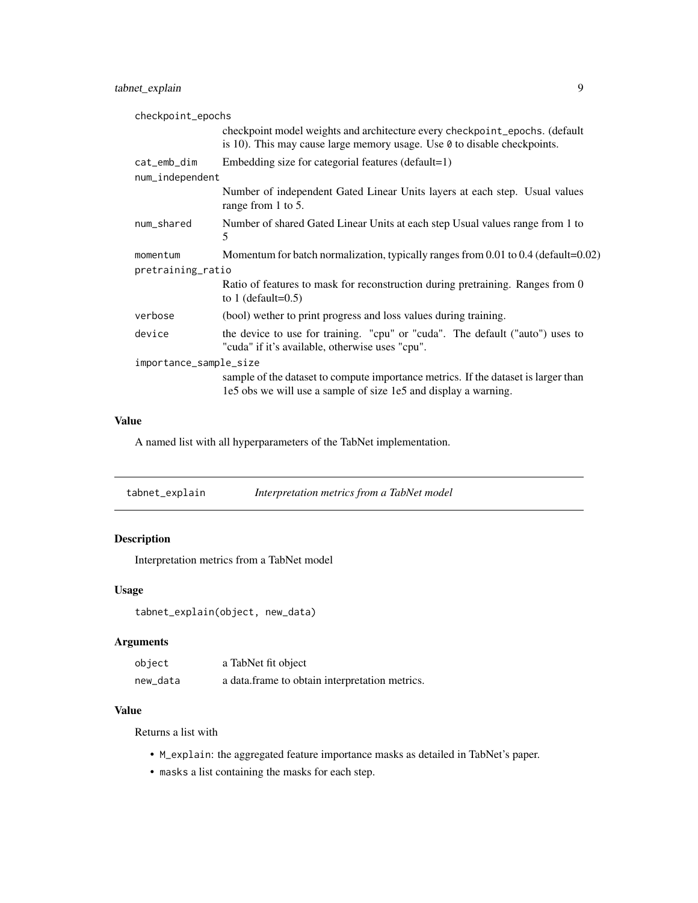## <span id="page-8-0"></span>tabnet\_explain 9

| checkpoint_epochs      |                                                                                                                                                                |
|------------------------|----------------------------------------------------------------------------------------------------------------------------------------------------------------|
|                        | checkpoint model weights and architecture every checkpoint_epochs. (default<br>is 10). This may cause large memory usage. Use $\theta$ to disable checkpoints. |
| cat_emb_dim            | Embedding size for categorial features (default=1)                                                                                                             |
| num_independent        |                                                                                                                                                                |
|                        | Number of independent Gated Linear Units layers at each step. Usual values<br>range from 1 to 5.                                                               |
| num_shared             | Number of shared Gated Linear Units at each step Usual values range from 1 to<br>5                                                                             |
| momentum               | Momentum for batch normalization, typically ranges from 0.01 to 0.4 (default=0.02)                                                                             |
| pretraining_ratio      |                                                                                                                                                                |
|                        | Ratio of features to mask for reconstruction during pretraining. Ranges from 0<br>to 1 (default= $0.5$ )                                                       |
| verbose                | (bool) wether to print progress and loss values during training.                                                                                               |
| device                 | the device to use for training. "cpu" or "cuda". The default ("auto") uses to<br>"cuda" if it's available, otherwise uses "cpu".                               |
| importance_sample_size |                                                                                                                                                                |
|                        | sample of the dataset to compute importance metrics. If the dataset is larger than<br>1e5 obs we will use a sample of size 1e5 and display a warning.          |

## Value

A named list with all hyperparameters of the TabNet implementation.

<span id="page-8-1"></span>

## Description

Interpretation metrics from a TabNet model

### Usage

tabnet\_explain(object, new\_data)

## Arguments

| object   | a TabNet fit object                             |
|----------|-------------------------------------------------|
| new_data | a data. frame to obtain interpretation metrics. |

## Value

Returns a list with

- M\_explain: the aggregated feature importance masks as detailed in TabNet's paper.
- masks a list containing the masks for each step.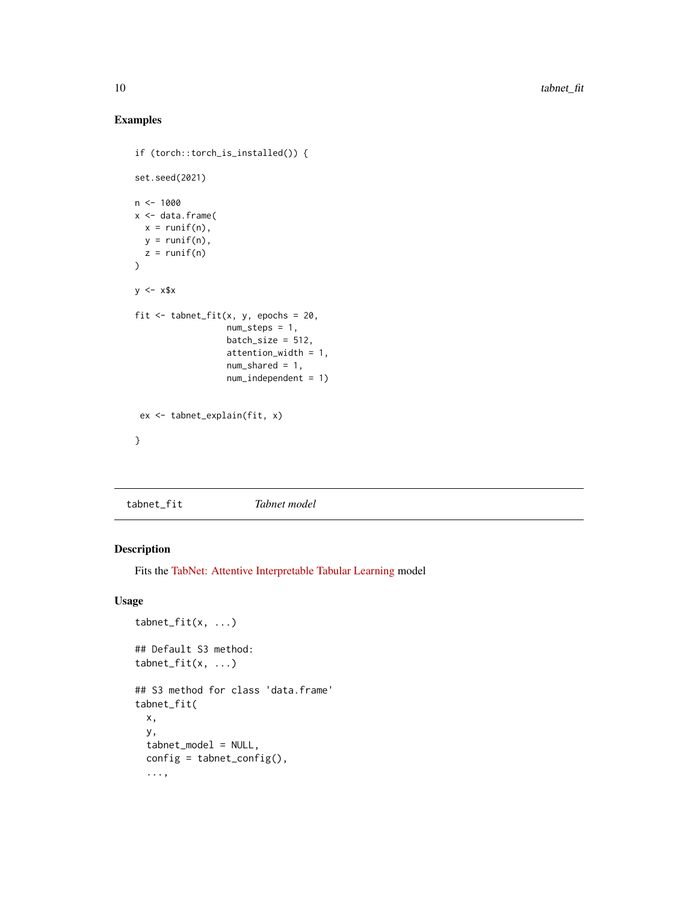## Examples

```
if (torch::torch_is_installed()) {
set.seed(2021)
n < - 1000x <- data.frame(
  x = runif(n),
  y = runif(n),
  z = runif(n)\mathcal{L}y \le -x$x
fit \le tabnet_fit(x, y, epochs = 20,
                   num_steps = 1,
                   batch_size = 512,attention_width = 1,
                   num_shared = 1,
                   num_independent = 1)
 ex <- tabnet_explain(fit, x)
}
```

```
tabnet_fit Tabnet model
```
## Description

Fits the [TabNet: Attentive Interpretable Tabular Learning](https://arxiv.org/abs/1908.07442) model

#### Usage

```
tabnet_fit(x, ...)## Default S3 method:
tabnet_fit(x, ...)
## S3 method for class 'data.frame'
tabnet_fit(
 x,
 y,
 tabnet_model = NULL,
 config = tabnet\_config(),...,
```
<span id="page-9-0"></span>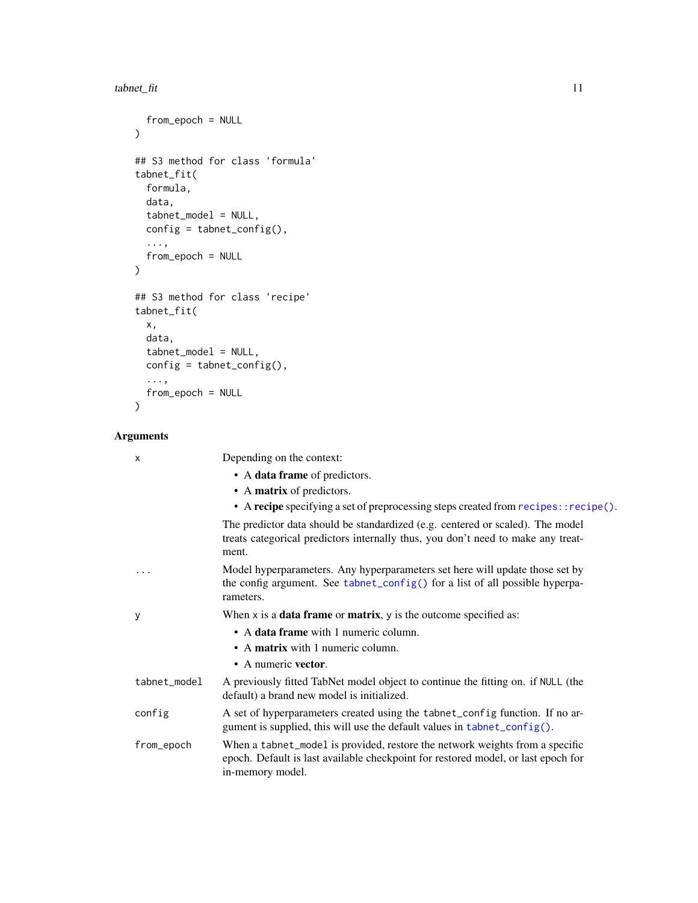#### <span id="page-10-0"></span>tabnet\_fit 11

```
from_epoch = NULL
\mathcal{L}## S3 method for class 'formula'
tabnet_fit(
 formula,
 data,
 tabnet_model = NULL,
 config = tabnet\_config(),...,
 from_epoch = NULL
\mathcal{L}## S3 method for class 'recipe'
tabnet_fit(
 x,
 data,
 tabnet_model = NULL,
 config = tabnet\_config(),...,
 from_epoch = NULL
)
```
## Arguments

| X            | Depending on the context:                                                                                                                                                             |
|--------------|---------------------------------------------------------------------------------------------------------------------------------------------------------------------------------------|
|              | • A data frame of predictors.                                                                                                                                                         |
|              | • A matrix of predictors.                                                                                                                                                             |
|              | • A recipe specifying a set of preprocessing steps created from recipes:: recipe().                                                                                                   |
|              | The predictor data should be standardized (e.g. centered or scaled). The model<br>treats categorical predictors internally thus, you don't need to make any treat-<br>ment.           |
| .            | Model hyperparameters. Any hyperparameters set here will update those set by<br>the config argument. See tabnet_config() for a list of all possible hyperpa-<br>rameters.             |
| у            | When $x$ is a <b>data frame</b> or <b>matrix</b> , $y$ is the outcome specified as:                                                                                                   |
|              | • A data frame with 1 numeric column.                                                                                                                                                 |
|              | • A matrix with 1 numeric column.                                                                                                                                                     |
|              | • A numeric vector.                                                                                                                                                                   |
| tabnet_model | A previously fitted TabNet model object to continue the fitting on. if NULL (the<br>default) a brand new model is initialized.                                                        |
| config       | A set of hyperparameters created using the tabnet_config function. If no ar-<br>gument is supplied, this will use the default values in tabnet_config().                              |
| from_epoch   | When a tabnet_model is provided, restore the network weights from a specific<br>epoch. Default is last available checkpoint for restored model, or last epoch for<br>in-memory model. |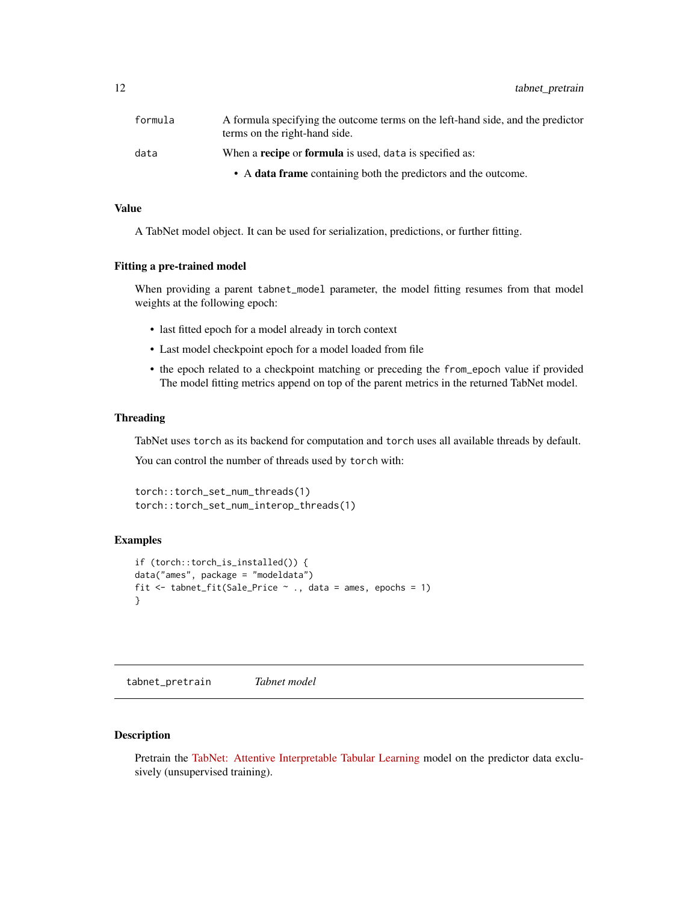<span id="page-11-0"></span>12 tabnet\_pretrain

| formula | A formula specifying the outcome terms on the left-hand side, and the predictor<br>terms on the right-hand side. |
|---------|------------------------------------------------------------------------------------------------------------------|
| data    | When a <b>recipe</b> or <b>formula</b> is used, data is specified as:                                            |
|         | • A data frame containing both the predictors and the outcome.                                                   |

### Value

A TabNet model object. It can be used for serialization, predictions, or further fitting.

#### Fitting a pre-trained model

When providing a parent tabnet\_model parameter, the model fitting resumes from that model weights at the following epoch:

- last fitted epoch for a model already in torch context
- Last model checkpoint epoch for a model loaded from file
- the epoch related to a checkpoint matching or preceding the from\_epoch value if provided The model fitting metrics append on top of the parent metrics in the returned TabNet model.

#### Threading

TabNet uses torch as its backend for computation and torch uses all available threads by default.

You can control the number of threads used by torch with:

```
torch::torch_set_num_threads(1)
torch::torch_set_num_interop_threads(1)
```
## **Examples**

```
if (torch::torch_is_installed()) {
data("ames", package = "modeldata")
fit \le tabnet_fit(Sale_Price \sim ., data = ames, epochs = 1)
}
```
<span id="page-11-1"></span>tabnet\_pretrain *Tabnet model*

## Description

Pretrain the [TabNet: Attentive Interpretable Tabular Learning](https://arxiv.org/abs/1908.07442) model on the predictor data exclusively (unsupervised training).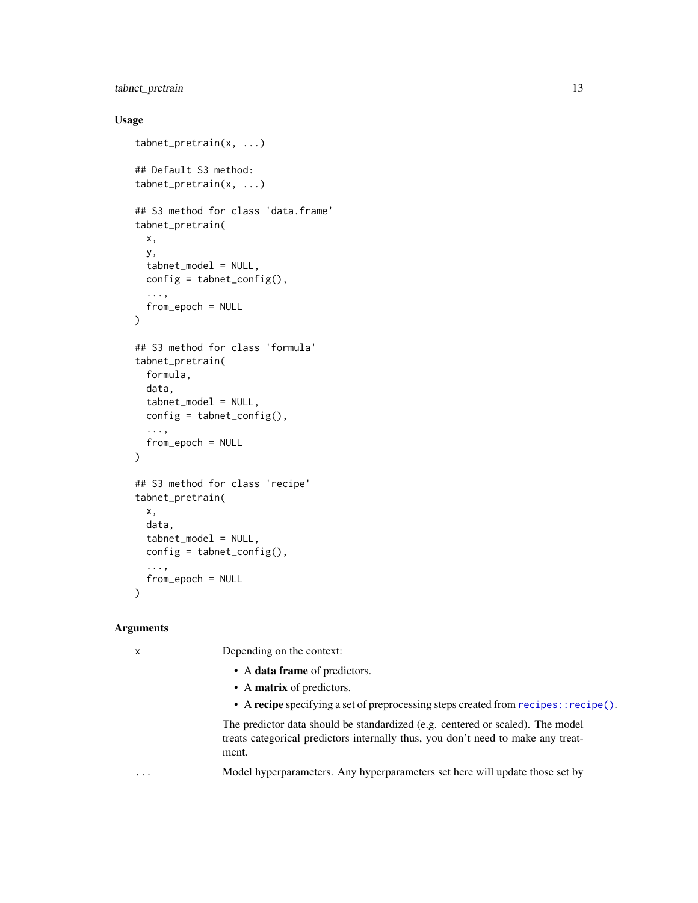## <span id="page-12-0"></span>tabnet\_pretrain 13

#### Usage

```
tabnet_pretrain(x, ...)
## Default S3 method:
tabnet_pretrain(x, ...)
## S3 method for class 'data.frame'
tabnet_pretrain(
 x,
 y,
 tabnet_model = NULL,
 config = tabnet\_config(),...,
  from_epoch = NULL
)
## S3 method for class 'formula'
tabnet_pretrain(
 formula,
 data,
  tabnet_model = NULL,
  config = tabnet\_config(),...,
  from_epoch = NULL
)
## S3 method for class 'recipe'
tabnet_pretrain(
 x,
 data,
 tabnet_model = NULL,
 config = tabnet\_config(),...,
  from_epoch = NULL
)
```
#### Arguments

x Depending on the context:

- A data frame of predictors.
- A matrix of predictors.
- A recipe specifying a set of preprocessing steps created from [recipes::recipe\(\)](#page-0-0).

The predictor data should be standardized (e.g. centered or scaled). The model treats categorical predictors internally thus, you don't need to make any treatment.

... Model hyperparameters. Any hyperparameters set here will update those set by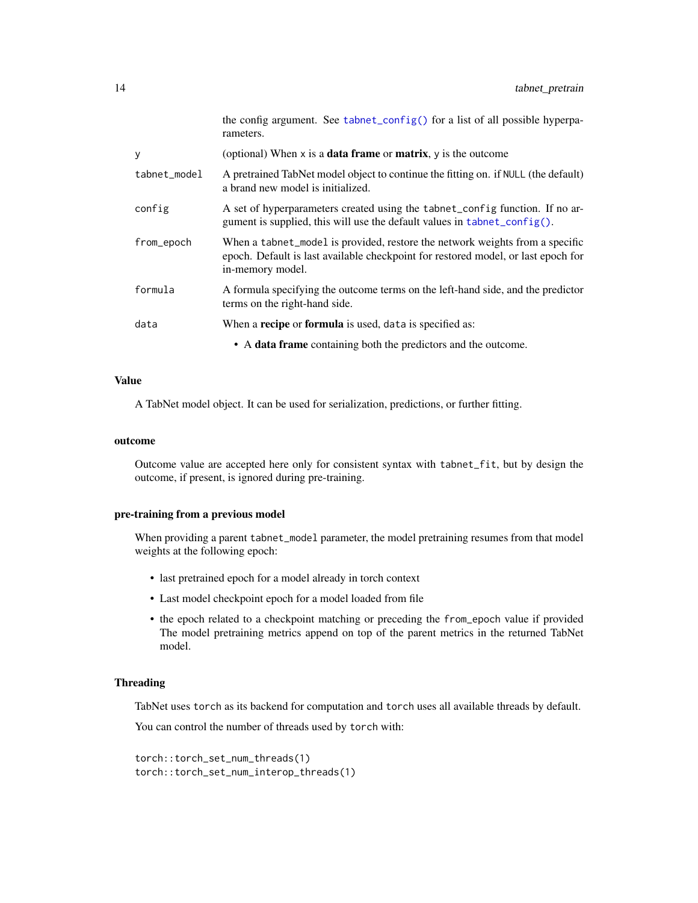<span id="page-13-0"></span>

|              | the config argument. See tabnet_config() for a list of all possible hyperpa-<br>rameters.                                                                                             |
|--------------|---------------------------------------------------------------------------------------------------------------------------------------------------------------------------------------|
| У            | (optional) When $x$ is a <b>data frame</b> or <b>matrix</b> , $y$ is the outcome                                                                                                      |
| tabnet_model | A pretrained TabNet model object to continue the fitting on. if NULL (the default)<br>a brand new model is initialized.                                                               |
| config       | A set of hyperparameters created using the tabnet_config function. If no ar-<br>gument is supplied, this will use the default values in tabnet_config().                              |
| from_epoch   | When a tabnet_model is provided, restore the network weights from a specific<br>epoch. Default is last available checkpoint for restored model, or last epoch for<br>in-memory model. |
| formula      | A formula specifying the outcome terms on the left-hand side, and the predictor<br>terms on the right-hand side.                                                                      |
| data         | When a <b>recipe</b> or <b>formula</b> is used, data is specified as:                                                                                                                 |
|              | • A data frame containing both the predictors and the outcome.                                                                                                                        |

#### Value

A TabNet model object. It can be used for serialization, predictions, or further fitting.

#### outcome

Outcome value are accepted here only for consistent syntax with tabnet\_fit, but by design the outcome, if present, is ignored during pre-training.

#### pre-training from a previous model

When providing a parent tabnet\_model parameter, the model pretraining resumes from that model weights at the following epoch:

- last pretrained epoch for a model already in torch context
- Last model checkpoint epoch for a model loaded from file
- the epoch related to a checkpoint matching or preceding the from\_epoch value if provided The model pretraining metrics append on top of the parent metrics in the returned TabNet model.

#### Threading

TabNet uses torch as its backend for computation and torch uses all available threads by default.

You can control the number of threads used by torch with:

```
torch::torch_set_num_threads(1)
torch::torch_set_num_interop_threads(1)
```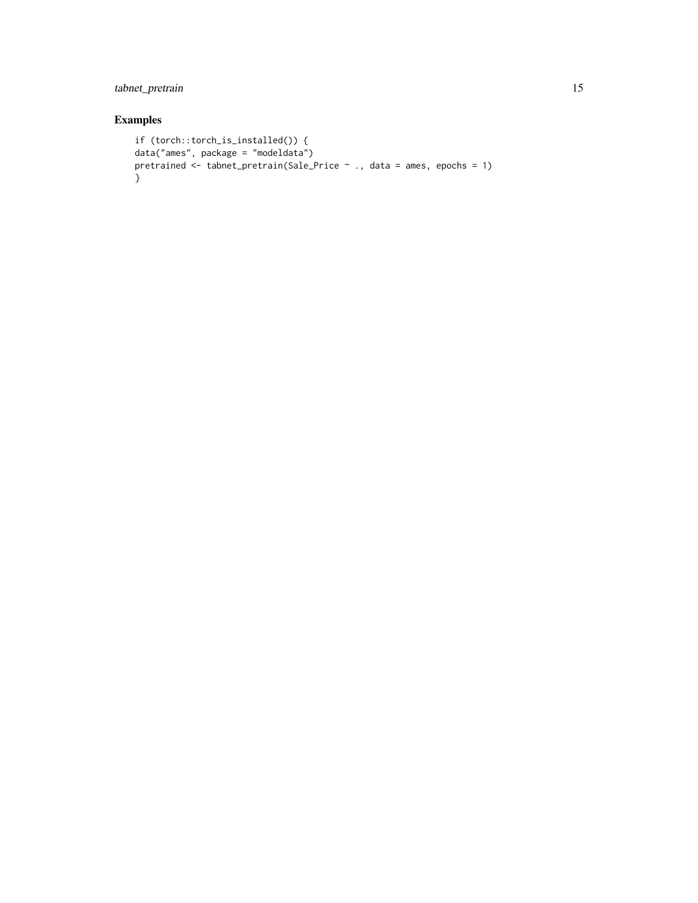## tabnet\_pretrain 15

## Examples

```
if (torch::torch_is_installed()) {
data("ames", package = "modeldata")
pretrained <- tabnet_pretrain(Sale_Price ~ ., data = ames, epochs = 1)
}
```